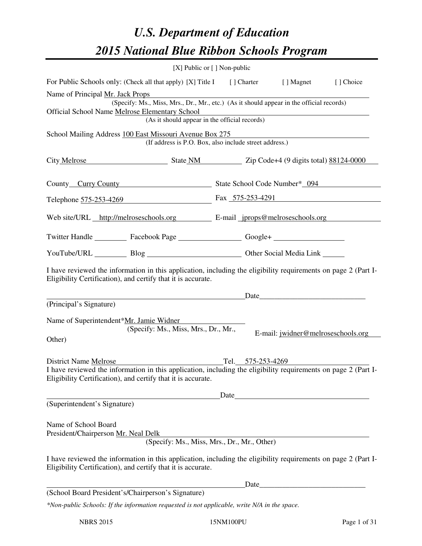# *U.S. Department of Education 2015 National Blue Ribbon Schools Program*

|                                                                                                                                                                                |                                               | [X] Public or [] Non-public                                                              |                                    |           |
|--------------------------------------------------------------------------------------------------------------------------------------------------------------------------------|-----------------------------------------------|------------------------------------------------------------------------------------------|------------------------------------|-----------|
| For Public Schools only: (Check all that apply) [X] Title I [] Charter [] Magnet                                                                                               |                                               |                                                                                          |                                    | [] Choice |
| Name of Principal Mr. Jack Props                                                                                                                                               |                                               | (Specify: Ms., Miss, Mrs., Dr., Mr., etc.) (As it should appear in the official records) |                                    |           |
| Official School Name Melrose Elementary School                                                                                                                                 | (As it should appear in the official records) |                                                                                          |                                    |           |
|                                                                                                                                                                                |                                               |                                                                                          |                                    |           |
| School Mailing Address 100 East Missouri Avenue Box 275                                                                                                                        |                                               | (If address is P.O. Box, also include street address.)                                   |                                    |           |
| City Melrose State NM Zip Code+4 (9 digits total) 88124-0000                                                                                                                   |                                               |                                                                                          |                                    |           |
| County Curry County County State School Code Number* 094                                                                                                                       |                                               |                                                                                          |                                    |           |
| Telephone 575-253-4269 Fax 575-253-4291                                                                                                                                        |                                               |                                                                                          |                                    |           |
| Web site/URL http://melroseschools.org E-mail jprops@melroseschools.org                                                                                                        |                                               |                                                                                          |                                    |           |
| Twitter Handle ____________ Facebook Page ______________________ Google+ __________________________                                                                            |                                               |                                                                                          |                                    |           |
| YouTube/URL Blog Blog Cher Social Media Link                                                                                                                                   |                                               |                                                                                          |                                    |           |
| I have reviewed the information in this application, including the eligibility requirements on page 2 (Part I-<br>Eligibility Certification), and certify that it is accurate. |                                               |                                                                                          |                                    |           |
|                                                                                                                                                                                |                                               |                                                                                          | Date                               |           |
| (Principal's Signature)                                                                                                                                                        |                                               |                                                                                          |                                    |           |
| Name of Superintendent*Mr. Jamie Widner<br>Other)                                                                                                                              | (Specify: Ms., Miss, Mrs., Dr., Mr.,          |                                                                                          | E-mail: jwidner@melroseschools.org |           |
| <b>District Name Melrose</b>                                                                                                                                                   |                                               | Tel. 575-253-4269                                                                        |                                    |           |
| I have reviewed the information in this application, including the eligibility requirements on page 2 (Part I-<br>Eligibility Certification), and certify that it is accurate. |                                               |                                                                                          |                                    |           |
|                                                                                                                                                                                |                                               |                                                                                          |                                    |           |
| (Superintendent's Signature)                                                                                                                                                   |                                               |                                                                                          |                                    |           |
| Name of School Board<br>President/Chairperson Mr. Neal Delk                                                                                                                    |                                               |                                                                                          |                                    |           |
|                                                                                                                                                                                |                                               | (Specify: Ms., Miss, Mrs., Dr., Mr., Other)                                              |                                    |           |
| I have reviewed the information in this application, including the eligibility requirements on page 2 (Part I-<br>Eligibility Certification), and certify that it is accurate. |                                               |                                                                                          |                                    |           |
|                                                                                                                                                                                |                                               |                                                                                          | Date                               |           |
| (School Board President's/Chairperson's Signature)                                                                                                                             |                                               |                                                                                          |                                    |           |
| *Non-public Schools: If the information requested is not applicable, write N/A in the space.                                                                                   |                                               |                                                                                          |                                    |           |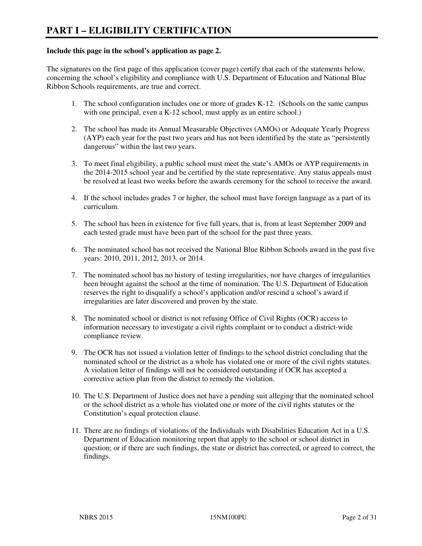#### **Include this page in the school's application as page 2.**

The signatures on the first page of this application (cover page) certify that each of the statements below, concerning the school's eligibility and compliance with U.S. Department of Education and National Blue Ribbon Schools requirements, are true and correct.

- 1. The school configuration includes one or more of grades K-12. (Schools on the same campus with one principal, even a K-12 school, must apply as an entire school.)
- 2. The school has made its Annual Measurable Objectives (AMOs) or Adequate Yearly Progress (AYP) each year for the past two years and has not been identified by the state as "persistently dangerous" within the last two years.
- 3. To meet final eligibility, a public school must meet the state's AMOs or AYP requirements in the 2014-2015 school year and be certified by the state representative. Any status appeals must be resolved at least two weeks before the awards ceremony for the school to receive the award.
- 4. If the school includes grades 7 or higher, the school must have foreign language as a part of its curriculum.
- 5. The school has been in existence for five full years, that is, from at least September 2009 and each tested grade must have been part of the school for the past three years.
- 6. The nominated school has not received the National Blue Ribbon Schools award in the past five years: 2010, 2011, 2012, 2013, or 2014.
- 7. The nominated school has no history of testing irregularities, nor have charges of irregularities been brought against the school at the time of nomination. The U.S. Department of Education reserves the right to disqualify a school's application and/or rescind a school's award if irregularities are later discovered and proven by the state.
- 8. The nominated school or district is not refusing Office of Civil Rights (OCR) access to information necessary to investigate a civil rights complaint or to conduct a district-wide compliance review.
- 9. The OCR has not issued a violation letter of findings to the school district concluding that the nominated school or the district as a whole has violated one or more of the civil rights statutes. A violation letter of findings will not be considered outstanding if OCR has accepted a corrective action plan from the district to remedy the violation.
- 10. The U.S. Department of Justice does not have a pending suit alleging that the nominated school or the school district as a whole has violated one or more of the civil rights statutes or the Constitution's equal protection clause.
- 11. There are no findings of violations of the Individuals with Disabilities Education Act in a U.S. Department of Education monitoring report that apply to the school or school district in question; or if there are such findings, the state or district has corrected, or agreed to correct, the findings.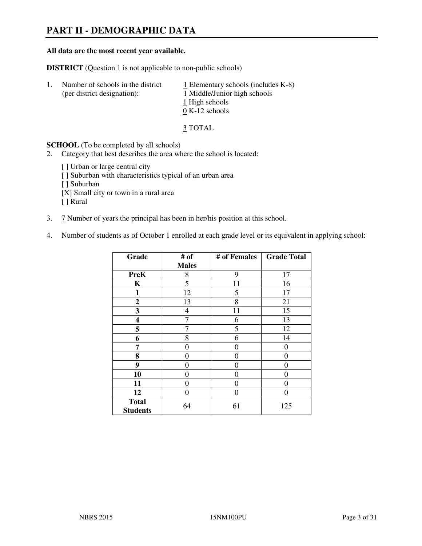# **PART II - DEMOGRAPHIC DATA**

#### **All data are the most recent year available.**

**DISTRICT** (Question 1 is not applicable to non-public schools)

| $\perp$ | Number of schools in the district<br>(per district designation): | $\perp$ Elementary schools (includes K-8)<br>1 Middle/Junior high schools<br>1 High schools<br>$0 K-12$ schools |
|---------|------------------------------------------------------------------|-----------------------------------------------------------------------------------------------------------------|
|         |                                                                  |                                                                                                                 |

3 TOTAL

**SCHOOL** (To be completed by all schools)

2. Category that best describes the area where the school is located:

[ ] Urban or large central city [ ] Suburban with characteristics typical of an urban area [ ] Suburban [X] Small city or town in a rural area [ ] Rural

- 3. 7 Number of years the principal has been in her/his position at this school.
- 4. Number of students as of October 1 enrolled at each grade level or its equivalent in applying school:

| Grade                           | # of         | # of Females | <b>Grade Total</b> |
|---------------------------------|--------------|--------------|--------------------|
|                                 | <b>Males</b> |              |                    |
| <b>PreK</b>                     | 8            | 9            | 17                 |
| K                               | 5            | 11           | 16                 |
| 1                               | 12           | 5            | 17                 |
| $\mathbf{2}$                    | 13           | 8            | 21                 |
| 3                               | 4            | 11           | 15                 |
| 4                               | 7            | 6            | 13                 |
| 5                               | 7            | 5            | 12                 |
| 6                               | 8            | 6            | 14                 |
| 7                               | 0            | $\Omega$     | $\theta$           |
| 8                               | 0            | 0            | 0                  |
| 9                               | 0            | 0            | 0                  |
| 10                              | 0            | 0            | 0                  |
| 11                              | 0            | 0            | $\theta$           |
| 12                              | 0            | 0            | $\theta$           |
| <b>Total</b><br><b>Students</b> | 64           | 61           | 125                |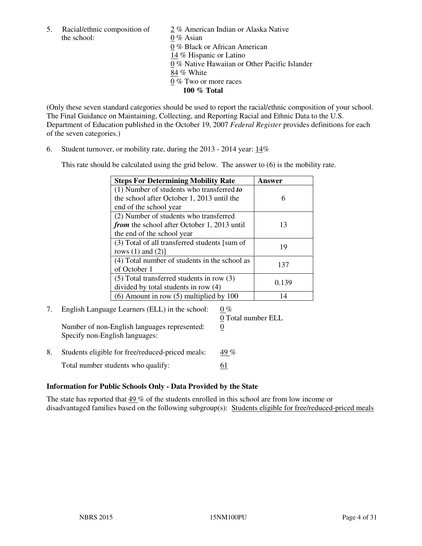the school: 0 % Asian

5. Racial/ethnic composition of  $\frac{2}{\sqrt{2}}$  % American Indian or Alaska Native 0 % Black or African American 14 % Hispanic or Latino 0 % Native Hawaiian or Other Pacific Islander 84 % White 0 % Two or more races **100 % Total** 

(Only these seven standard categories should be used to report the racial/ethnic composition of your school. The Final Guidance on Maintaining, Collecting, and Reporting Racial and Ethnic Data to the U.S. Department of Education published in the October 19, 2007 *Federal Register* provides definitions for each of the seven categories.)

6. Student turnover, or mobility rate, during the 2013 - 2014 year: 14%

This rate should be calculated using the grid below. The answer to (6) is the mobility rate.

| <b>Steps For Determining Mobility Rate</b>         | Answer |
|----------------------------------------------------|--------|
| $(1)$ Number of students who transferred to        |        |
| the school after October 1, 2013 until the         | 6      |
| end of the school year                             |        |
| (2) Number of students who transferred             |        |
| <i>from</i> the school after October 1, 2013 until | 13     |
| the end of the school year                         |        |
| (3) Total of all transferred students [sum of      | 19     |
| rows $(1)$ and $(2)$ ]                             |        |
| (4) Total number of students in the school as      | 137    |
| of October 1                                       |        |
| $(5)$ Total transferred students in row $(3)$      | 0.139  |
| divided by total students in row (4)               |        |
| $(6)$ Amount in row $(5)$ multiplied by 100        | 14     |

# 7. English Language Learners (ELL) in the school:  $0\%$

Number of non-English languages represented: 0 Specify non-English languages:

0 Total number ELL

8. Students eligible for free/reduced-priced meals:  $49\%$ Total number students who qualify: 61

#### **Information for Public Schools Only - Data Provided by the State**

The state has reported that  $49\%$  of the students enrolled in this school are from low income or disadvantaged families based on the following subgroup(s): Students eligible for free/reduced-priced meals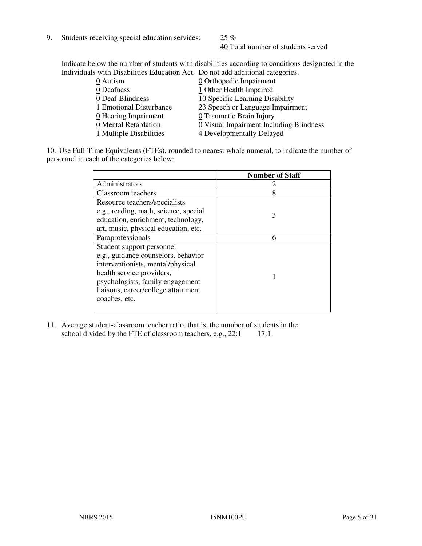9. Students receiving special education services:  $25\%$ 

40 Total number of students served

Indicate below the number of students with disabilities according to conditions designated in the Individuals with Disabilities Education Act. Do not add additional categories.

| 0 Orthopedic Impairment                                                                                                              |
|--------------------------------------------------------------------------------------------------------------------------------------|
| 1 Other Health Impaired                                                                                                              |
| 10 Specific Learning Disability                                                                                                      |
| 23 Speech or Language Impairment                                                                                                     |
| 0 Traumatic Brain Injury                                                                                                             |
| 0 Visual Impairment Including Blindness                                                                                              |
| 4 Developmentally Delayed                                                                                                            |
| 0 Deaf-Blindness<br>1 Emotional Disturbance<br>$\underline{0}$ Hearing Impairment<br>0 Mental Retardation<br>1 Multiple Disabilities |

10. Use Full-Time Equivalents (FTEs), rounded to nearest whole numeral, to indicate the number of personnel in each of the categories below:

|                                       | <b>Number of Staff</b> |
|---------------------------------------|------------------------|
| Administrators                        |                        |
| Classroom teachers                    | 8                      |
| Resource teachers/specialists         |                        |
| e.g., reading, math, science, special | 3                      |
| education, enrichment, technology,    |                        |
| art, music, physical education, etc.  |                        |
| Paraprofessionals                     | 6                      |
| Student support personnel             |                        |
| e.g., guidance counselors, behavior   |                        |
| interventionists, mental/physical     |                        |
| health service providers,             |                        |
| psychologists, family engagement      |                        |
| liaisons, career/college attainment   |                        |
| coaches, etc.                         |                        |
|                                       |                        |

11. Average student-classroom teacher ratio, that is, the number of students in the school divided by the FTE of classroom teachers, e.g.,  $22:1 \quad 17:1$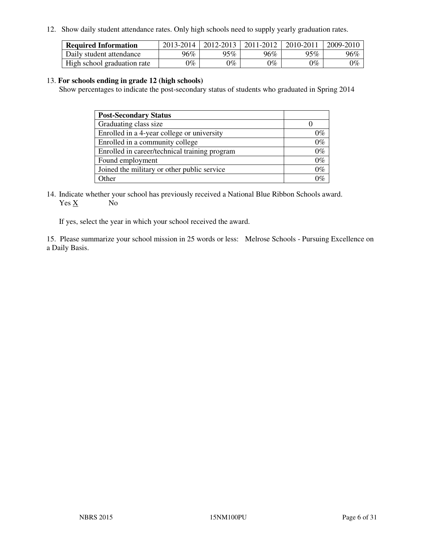12. Show daily student attendance rates. Only high schools need to supply yearly graduation rates.

| <b>Required Information</b> | 2013-2014     | 2012-2013       | 2011-2012 | 2010-2011 | 2009-2010 |
|-----------------------------|---------------|-----------------|-----------|-----------|-----------|
| Daily student attendance    | 96%           | $95\%$          | 96%       | 95%       | 96%       |
| High school graduation rate | $\gamma_{\%}$ | $\mathcal{V}_o$ | $0\%$     | 0%        | 0%        |

#### 13. **For schools ending in grade 12 (high schools)**

Show percentages to indicate the post-secondary status of students who graduated in Spring 2014

| <b>Post-Secondary Status</b>                  |       |
|-----------------------------------------------|-------|
| Graduating class size                         |       |
| Enrolled in a 4-year college or university    | በ‰    |
| Enrolled in a community college               | $0\%$ |
| Enrolled in career/technical training program | $0\%$ |
| Found employment                              | $0\%$ |
| Joined the military or other public service   | 0%    |
| Other                                         |       |

14. Indicate whether your school has previously received a National Blue Ribbon Schools award. Yes X No

If yes, select the year in which your school received the award.

15. Please summarize your school mission in 25 words or less: Melrose Schools - Pursuing Excellence on a Daily Basis.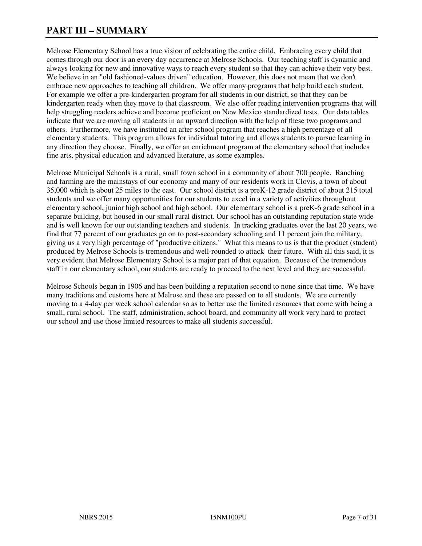# **PART III – SUMMARY**

Melrose Elementary School has a true vision of celebrating the entire child. Embracing every child that comes through our door is an every day occurrence at Melrose Schools. Our teaching staff is dynamic and always looking for new and innovative ways to reach every student so that they can achieve their very best. We believe in an "old fashioned-values driven" education. However, this does not mean that we don't embrace new approaches to teaching all children. We offer many programs that help build each student. For example we offer a pre-kindergarten program for all students in our district, so that they can be kindergarten ready when they move to that classroom. We also offer reading intervention programs that will help struggling readers achieve and become proficient on New Mexico standardized tests. Our data tables indicate that we are moving all students in an upward direction with the help of these two programs and others. Furthermore, we have instituted an after school program that reaches a high percentage of all elementary students. This program allows for individual tutoring and allows students to pursue learning in any direction they choose. Finally, we offer an enrichment program at the elementary school that includes fine arts, physical education and advanced literature, as some examples.

Melrose Municipal Schools is a rural, small town school in a community of about 700 people. Ranching and farming are the mainstays of our economy and many of our residents work in Clovis, a town of about 35,000 which is about 25 miles to the east. Our school district is a preK-12 grade district of about 215 total students and we offer many opportunities for our students to excel in a variety of activities throughout elementary school, junior high school and high school. Our elementary school is a preK-6 grade school in a separate building, but housed in our small rural district. Our school has an outstanding reputation state wide and is well known for our outstanding teachers and students. In tracking graduates over the last 20 years, we find that 77 percent of our graduates go on to post-secondary schooling and 11 percent join the military, giving us a very high percentage of "productive citizens." What this means to us is that the product (student) produced by Melrose Schools is tremendous and well-rounded to attack their future. With all this said, it is very evident that Melrose Elementary School is a major part of that equation. Because of the tremendous staff in our elementary school, our students are ready to proceed to the next level and they are successful.

Melrose Schools began in 1906 and has been building a reputation second to none since that time. We have many traditions and customs here at Melrose and these are passed on to all students. We are currently moving to a 4-day per week school calendar so as to better use the limited resources that come with being a small, rural school. The staff, administration, school board, and community all work very hard to protect our school and use those limited resources to make all students successful.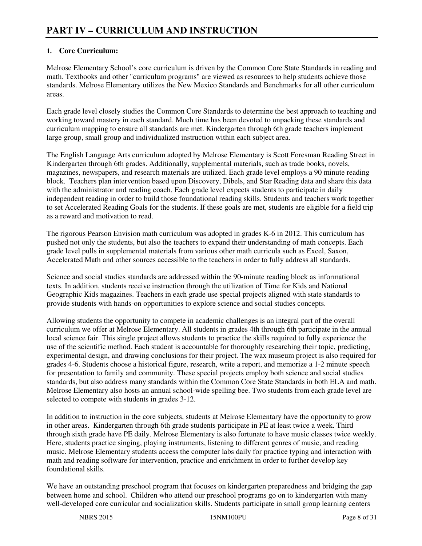#### **1. Core Curriculum:**

Melrose Elementary School's core curriculum is driven by the Common Core State Standards in reading and math. Textbooks and other "curriculum programs" are viewed as resources to help students achieve those standards. Melrose Elementary utilizes the New Mexico Standards and Benchmarks for all other curriculum areas.

Each grade level closely studies the Common Core Standards to determine the best approach to teaching and working toward mastery in each standard. Much time has been devoted to unpacking these standards and curriculum mapping to ensure all standards are met. Kindergarten through 6th grade teachers implement large group, small group and individualized instruction within each subject area.

The English Language Arts curriculum adopted by Melrose Elementary is Scott Foresman Reading Street in Kindergarten through 6th grades. Additionally, supplemental materials, such as trade books, novels, magazines, newspapers, and research materials are utilized. Each grade level employs a 90 minute reading block. Teachers plan intervention based upon Discovery, Dibels, and Star Reading data and share this data with the administrator and reading coach. Each grade level expects students to participate in daily independent reading in order to build those foundational reading skills. Students and teachers work together to set Accelerated Reading Goals for the students. If these goals are met, students are eligible for a field trip as a reward and motivation to read.

The rigorous Pearson Envision math curriculum was adopted in grades K-6 in 2012. This curriculum has pushed not only the students, but also the teachers to expand their understanding of math concepts. Each grade level pulls in supplemental materials from various other math curricula such as Excel, Saxon, Accelerated Math and other sources accessible to the teachers in order to fully address all standards.

Science and social studies standards are addressed within the 90-minute reading block as informational texts. In addition, students receive instruction through the utilization of Time for Kids and National Geographic Kids magazines. Teachers in each grade use special projects aligned with state standards to provide students with hands-on opportunities to explore science and social studies concepts.

Allowing students the opportunity to compete in academic challenges is an integral part of the overall curriculum we offer at Melrose Elementary. All students in grades 4th through 6th participate in the annual local science fair. This single project allows students to practice the skills required to fully experience the use of the scientific method. Each student is accountable for thoroughly researching their topic, predicting, experimental design, and drawing conclusions for their project. The wax museum project is also required for grades 4-6. Students choose a historical figure, research, write a report, and memorize a 1-2 minute speech for presentation to family and community. These special projects employ both science and social studies standards, but also address many standards within the Common Core State Standards in both ELA and math. Melrose Elementary also hosts an annual school-wide spelling bee. Two students from each grade level are selected to compete with students in grades 3-12.

In addition to instruction in the core subjects, students at Melrose Elementary have the opportunity to grow in other areas. Kindergarten through 6th grade students participate in PE at least twice a week. Third through sixth grade have PE daily. Melrose Elementary is also fortunate to have music classes twice weekly. Here, students practice singing, playing instruments, listening to different genres of music, and reading music. Melrose Elementary students access the computer labs daily for practice typing and interaction with math and reading software for intervention, practice and enrichment in order to further develop key foundational skills.

We have an outstanding preschool program that focuses on kindergarten preparedness and bridging the gap between home and school. Children who attend our preschool programs go on to kindergarten with many well-developed core curricular and socialization skills. Students participate in small group learning centers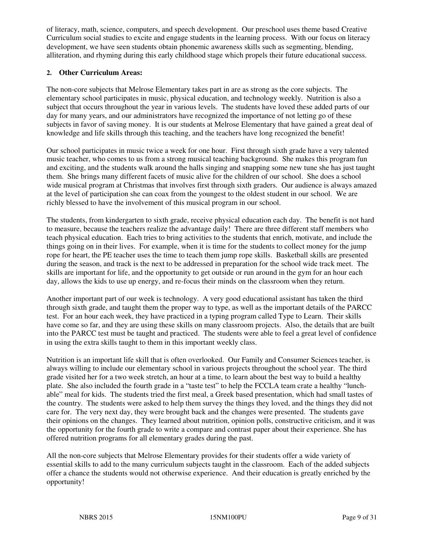of literacy, math, science, computers, and speech development. Our preschool uses theme based Creative Curriculum social studies to excite and engage students in the learning process. With our focus on literacy development, we have seen students obtain phonemic awareness skills such as segmenting, blending, alliteration, and rhyming during this early childhood stage which propels their future educational success.

#### **2. Other Curriculum Areas:**

The non-core subjects that Melrose Elementary takes part in are as strong as the core subjects. The elementary school participates in music, physical education, and technology weekly. Nutrition is also a subject that occurs throughout the year in various levels. The students have loved these added parts of our day for many years, and our administrators have recognized the importance of not letting go of these subjects in favor of saving money. It is our students at Melrose Elementary that have gained a great deal of knowledge and life skills through this teaching, and the teachers have long recognized the benefit!

Our school participates in music twice a week for one hour. First through sixth grade have a very talented music teacher, who comes to us from a strong musical teaching background. She makes this program fun and exciting, and the students walk around the halls singing and snapping some new tune she has just taught them. She brings many different facets of music alive for the children of our school. She does a school wide musical program at Christmas that involves first through sixth graders. Our audience is always amazed at the level of participation she can coax from the youngest to the oldest student in our school. We are richly blessed to have the involvement of this musical program in our school.

The students, from kindergarten to sixth grade, receive physical education each day. The benefit is not hard to measure, because the teachers realize the advantage daily! There are three different staff members who teach physical education. Each tries to bring activities to the students that enrich, motivate, and include the things going on in their lives. For example, when it is time for the students to collect money for the jump rope for heart, the PE teacher uses the time to teach them jump rope skills. Basketball skills are presented during the season, and track is the next to be addressed in preparation for the school wide track meet. The skills are important for life, and the opportunity to get outside or run around in the gym for an hour each day, allows the kids to use up energy, and re-focus their minds on the classroom when they return.

Another important part of our week is technology. A very good educational assistant has taken the third through sixth grade, and taught them the proper way to type, as well as the important details of the PARCC test. For an hour each week, they have practiced in a typing program called Type to Learn. Their skills have come so far, and they are using these skills on many classroom projects. Also, the details that are built into the PARCC test must be taught and practiced. The students were able to feel a great level of confidence in using the extra skills taught to them in this important weekly class.

Nutrition is an important life skill that is often overlooked. Our Family and Consumer Sciences teacher, is always willing to include our elementary school in various projects throughout the school year. The third grade visited her for a two week stretch, an hour at a time, to learn about the best way to build a healthy plate. She also included the fourth grade in a "taste test" to help the FCCLA team crate a healthy "lunchable" meal for kids. The students tried the first meal, a Greek based presentation, which had small tastes of the country. The students were asked to help them survey the things they loved, and the things they did not care for. The very next day, they were brought back and the changes were presented. The students gave their opinions on the changes. They learned about nutrition, opinion polls, constructive criticism, and it was the opportunity for the fourth grade to write a compare and contrast paper about their experience. She has offered nutrition programs for all elementary grades during the past.

All the non-core subjects that Melrose Elementary provides for their students offer a wide variety of essential skills to add to the many curriculum subjects taught in the classroom. Each of the added subjects offer a chance the students would not otherwise experience. And their education is greatly enriched by the opportunity!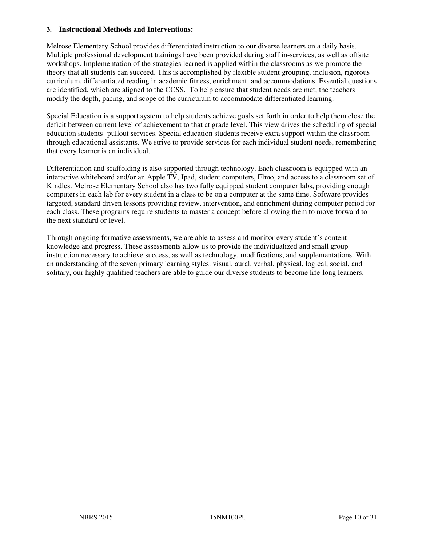#### **3. Instructional Methods and Interventions:**

Melrose Elementary School provides differentiated instruction to our diverse learners on a daily basis. Multiple professional development trainings have been provided during staff in-services, as well as offsite workshops. Implementation of the strategies learned is applied within the classrooms as we promote the theory that all students can succeed. This is accomplished by flexible student grouping, inclusion, rigorous curriculum, differentiated reading in academic fitness, enrichment, and accommodations. Essential questions are identified, which are aligned to the CCSS. To help ensure that student needs are met, the teachers modify the depth, pacing, and scope of the curriculum to accommodate differentiated learning.

Special Education is a support system to help students achieve goals set forth in order to help them close the deficit between current level of achievement to that at grade level. This view drives the scheduling of special education students' pullout services. Special education students receive extra support within the classroom through educational assistants. We strive to provide services for each individual student needs, remembering that every learner is an individual.

Differentiation and scaffolding is also supported through technology. Each classroom is equipped with an interactive whiteboard and/or an Apple TV, Ipad, student computers, Elmo, and access to a classroom set of Kindles. Melrose Elementary School also has two fully equipped student computer labs, providing enough computers in each lab for every student in a class to be on a computer at the same time. Software provides targeted, standard driven lessons providing review, intervention, and enrichment during computer period for each class. These programs require students to master a concept before allowing them to move forward to the next standard or level.

Through ongoing formative assessments, we are able to assess and monitor every student's content knowledge and progress. These assessments allow us to provide the individualized and small group instruction necessary to achieve success, as well as technology, modifications, and supplementations. With an understanding of the seven primary learning styles: visual, aural, verbal, physical, logical, social, and solitary, our highly qualified teachers are able to guide our diverse students to become life-long learners.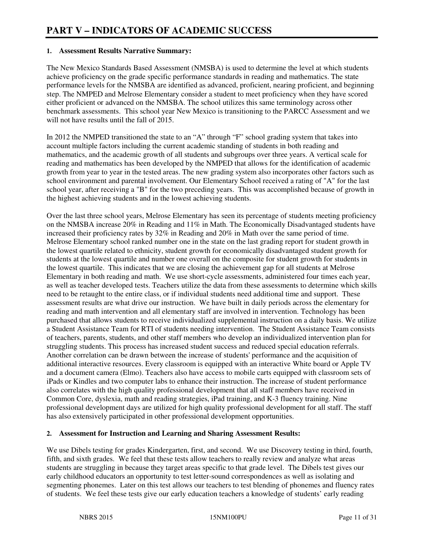#### **1. Assessment Results Narrative Summary:**

The New Mexico Standards Based Assessment (NMSBA) is used to determine the level at which students achieve proficiency on the grade specific performance standards in reading and mathematics. The state performance levels for the NMSBA are identified as advanced, proficient, nearing proficient, and beginning step. The NMPED and Melrose Elementary consider a student to meet proficiency when they have scored either proficient or advanced on the NMSBA. The school utilizes this same terminology across other benchmark assessments. This school year New Mexico is transitioning to the PARCC Assessment and we will not have results until the fall of 2015.

In 2012 the NMPED transitioned the state to an "A" through "F" school grading system that takes into account multiple factors including the current academic standing of students in both reading and mathematics, and the academic growth of all students and subgroups over three years. A vertical scale for reading and mathematics has been developed by the NMPED that allows for the identification of academic growth from year to year in the tested areas. The new grading system also incorporates other factors such as school environment and parental involvement. Our Elementary School received a rating of "A" for the last school year, after receiving a "B" for the two preceding years. This was accomplished because of growth in the highest achieving students and in the lowest achieving students.

Over the last three school years, Melrose Elementary has seen its percentage of students meeting proficiency on the NMSBA increase 20% in Reading and 11% in Math. The Economically Disadvantaged students have increased their proficiency rates by 32% in Reading and 20% in Math over the same period of time. Melrose Elementary school ranked number one in the state on the last grading report for student growth in the lowest quartile related to ethnicity, student growth for economically disadvantaged student growth for students at the lowest quartile and number one overall on the composite for student growth for students in the lowest quartile. This indicates that we are closing the achievement gap for all students at Melrose Elementary in both reading and math. We use short-cycle assessments, administered four times each year, as well as teacher developed tests. Teachers utilize the data from these assessments to determine which skills need to be retaught to the entire class, or if individual students need additional time and support. These assessment results are what drive our instruction. We have built in daily periods across the elementary for reading and math intervention and all elementary staff are involved in intervention. Technology has been purchased that allows students to receive individualized supplemental instruction on a daily basis. We utilize a Student Assistance Team for RTI of students needing intervention. The Student Assistance Team consists of teachers, parents, students, and other staff members who develop an individualized intervention plan for struggling students. This process has increased student success and reduced special education referrals. Another correlation can be drawn between the increase of students' performance and the acquisition of additional interactive resources. Every classroom is equipped with an interactive White board or Apple TV and a document camera (Elmo). Teachers also have access to mobile carts equipped with classroom sets of iPads or Kindles and two computer labs to enhance their instruction. The increase of student performance also correlates with the high quality professional development that all staff members have received in Common Core, dyslexia, math and reading strategies, iPad training, and K-3 fluency training. Nine professional development days are utilized for high quality professional development for all staff. The staff has also extensively participated in other professional development opportunities.

#### **2. Assessment for Instruction and Learning and Sharing Assessment Results:**

We use Dibels testing for grades Kindergarten, first, and second. We use Discovery testing in third, fourth, fifth, and sixth grades. We feel that these tests allow teachers to really review and analyze what areas students are struggling in because they target areas specific to that grade level. The Dibels test gives our early childhood educators an opportunity to test letter-sound correspondences as well as isolating and segmenting phonemes. Later on this test allows our teachers to test blending of phonemes and fluency rates of students. We feel these tests give our early education teachers a knowledge of students' early reading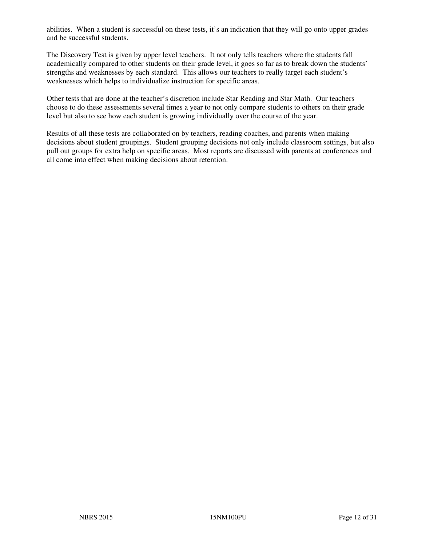abilities. When a student is successful on these tests, it's an indication that they will go onto upper grades and be successful students.

The Discovery Test is given by upper level teachers. It not only tells teachers where the students fall academically compared to other students on their grade level, it goes so far as to break down the students' strengths and weaknesses by each standard. This allows our teachers to really target each student's weaknesses which helps to individualize instruction for specific areas.

Other tests that are done at the teacher's discretion include Star Reading and Star Math. Our teachers choose to do these assessments several times a year to not only compare students to others on their grade level but also to see how each student is growing individually over the course of the year.

Results of all these tests are collaborated on by teachers, reading coaches, and parents when making decisions about student groupings. Student grouping decisions not only include classroom settings, but also pull out groups for extra help on specific areas. Most reports are discussed with parents at conferences and all come into effect when making decisions about retention.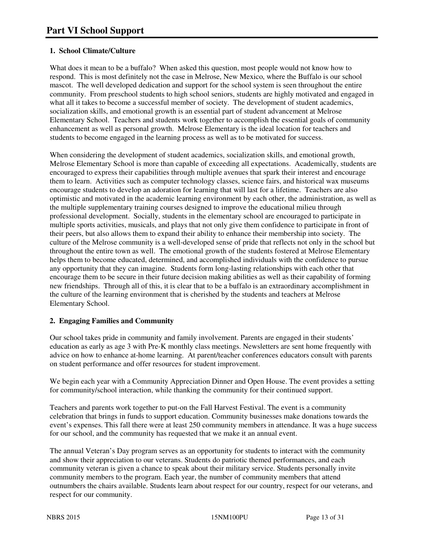#### **1. School Climate/Culture**

What does it mean to be a buffalo? When asked this question, most people would not know how to respond. This is most definitely not the case in Melrose, New Mexico, where the Buffalo is our school mascot. The well developed dedication and support for the school system is seen throughout the entire community. From preschool students to high school seniors, students are highly motivated and engaged in what all it takes to become a successful member of society. The development of student academics, socialization skills, and emotional growth is an essential part of student advancement at Melrose Elementary School. Teachers and students work together to accomplish the essential goals of community enhancement as well as personal growth. Melrose Elementary is the ideal location for teachers and students to become engaged in the learning process as well as to be motivated for success.

When considering the development of student academics, socialization skills, and emotional growth, Melrose Elementary School is more than capable of exceeding all expectations. Academically, students are encouraged to express their capabilities through multiple avenues that spark their interest and encourage them to learn. Activities such as computer technology classes, science fairs, and historical wax museums encourage students to develop an adoration for learning that will last for a lifetime. Teachers are also optimistic and motivated in the academic learning environment by each other, the administration, as well as the multiple supplementary training courses designed to improve the educational milieu through professional development. Socially, students in the elementary school are encouraged to participate in multiple sports activities, musicals, and plays that not only give them confidence to participate in front of their peers, but also allows them to expand their ability to enhance their membership into society. The culture of the Melrose community is a well-developed sense of pride that reflects not only in the school but throughout the entire town as well. The emotional growth of the students fostered at Melrose Elementary helps them to become educated, determined, and accomplished individuals with the confidence to pursue any opportunity that they can imagine. Students form long-lasting relationships with each other that encourage them to be secure in their future decision making abilities as well as their capability of forming new friendships. Through all of this, it is clear that to be a buffalo is an extraordinary accomplishment in the culture of the learning environment that is cherished by the students and teachers at Melrose Elementary School.

#### **2. Engaging Families and Community**

Our school takes pride in community and family involvement. Parents are engaged in their students' education as early as age 3 with Pre-K monthly class meetings. Newsletters are sent home frequently with advice on how to enhance at-home learning. At parent/teacher conferences educators consult with parents on student performance and offer resources for student improvement.

We begin each year with a Community Appreciation Dinner and Open House. The event provides a setting for community/school interaction, while thanking the community for their continued support.

Teachers and parents work together to put-on the Fall Harvest Festival. The event is a community celebration that brings in funds to support education. Community businesses make donations towards the event's expenses. This fall there were at least 250 community members in attendance. It was a huge success for our school, and the community has requested that we make it an annual event.

The annual Veteran's Day program serves as an opportunity for students to interact with the community and show their appreciation to our veterans. Students do patriotic themed performances, and each community veteran is given a chance to speak about their military service. Students personally invite community members to the program. Each year, the number of community members that attend outnumbers the chairs available. Students learn about respect for our country, respect for our veterans, and respect for our community.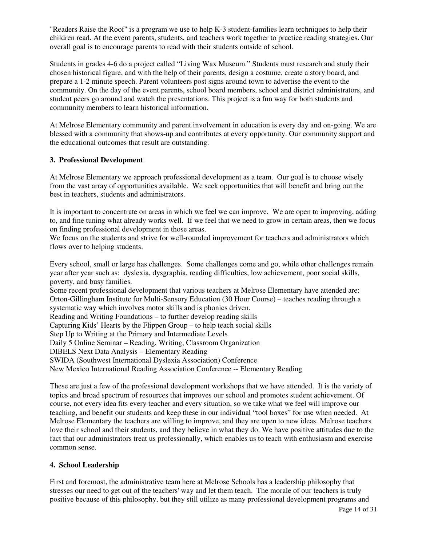"Readers Raise the Roof" is a program we use to help K-3 student-families learn techniques to help their children read. At the event parents, students, and teachers work together to practice reading strategies. Our overall goal is to encourage parents to read with their students outside of school.

Students in grades 4-6 do a project called "Living Wax Museum." Students must research and study their chosen historical figure, and with the help of their parents, design a costume, create a story board, and prepare a 1-2 minute speech. Parent volunteers post signs around town to advertise the event to the community. On the day of the event parents, school board members, school and district administrators, and student peers go around and watch the presentations. This project is a fun way for both students and community members to learn historical information.

At Melrose Elementary community and parent involvement in education is every day and on-going. We are blessed with a community that shows-up and contributes at every opportunity. Our community support and the educational outcomes that result are outstanding.

#### **3. Professional Development**

At Melrose Elementary we approach professional development as a team. Our goal is to choose wisely from the vast array of opportunities available. We seek opportunities that will benefit and bring out the best in teachers, students and administrators.

It is important to concentrate on areas in which we feel we can improve. We are open to improving, adding to, and fine tuning what already works well. If we feel that we need to grow in certain areas, then we focus on finding professional development in those areas.

We focus on the students and strive for well-rounded improvement for teachers and administrators which flows over to helping students.

Every school, small or large has challenges. Some challenges come and go, while other challenges remain year after year such as: dyslexia, dysgraphia, reading difficulties, low achievement, poor social skills, poverty, and busy families.

Some recent professional development that various teachers at Melrose Elementary have attended are: Orton-Gillingham Institute for Multi-Sensory Education (30 Hour Course) – teaches reading through a systematic way which involves motor skills and is phonics driven.

Reading and Writing Foundations – to further develop reading skills

Capturing Kids' Hearts by the Flippen Group – to help teach social skills

Step Up to Writing at the Primary and Intermediate Levels

Daily 5 Online Seminar – Reading, Writing, Classroom Organization

DIBELS Next Data Analysis – Elementary Reading

SWIDA (Southwest International Dyslexia Association) Conference

New Mexico International Reading Association Conference -- Elementary Reading

These are just a few of the professional development workshops that we have attended. It is the variety of topics and broad spectrum of resources that improves our school and promotes student achievement. Of course, not every idea fits every teacher and every situation, so we take what we feel will improve our teaching, and benefit our students and keep these in our individual "tool boxes" for use when needed. At Melrose Elementary the teachers are willing to improve, and they are open to new ideas. Melrose teachers love their school and their students, and they believe in what they do. We have positive attitudes due to the fact that our administrators treat us professionally, which enables us to teach with enthusiasm and exercise common sense.

#### **4. School Leadership**

First and foremost, the administrative team here at Melrose Schools has a leadership philosophy that stresses our need to get out of the teachers' way and let them teach. The morale of our teachers is truly positive because of this philosophy, but they still utilize as many professional development programs and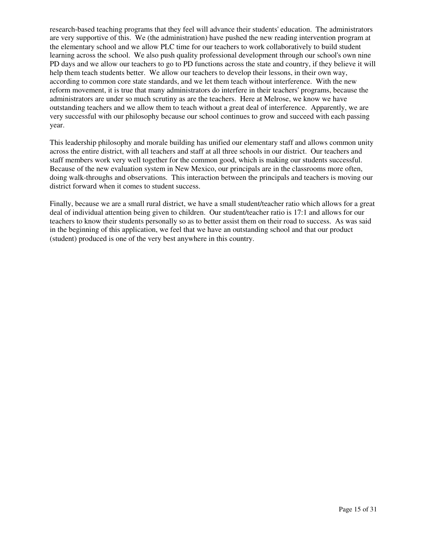research-based teaching programs that they feel will advance their students' education. The administrators are very supportive of this. We (the administration) have pushed the new reading intervention program at the elementary school and we allow PLC time for our teachers to work collaboratively to build student learning across the school. We also push quality professional development through our school's own nine PD days and we allow our teachers to go to PD functions across the state and country, if they believe it will help them teach students better. We allow our teachers to develop their lessons, in their own way, according to common core state standards, and we let them teach without interference. With the new reform movement, it is true that many administrators do interfere in their teachers' programs, because the administrators are under so much scrutiny as are the teachers. Here at Melrose, we know we have outstanding teachers and we allow them to teach without a great deal of interference. Apparently, we are very successful with our philosophy because our school continues to grow and succeed with each passing year.

This leadership philosophy and morale building has unified our elementary staff and allows common unity across the entire district, with all teachers and staff at all three schools in our district. Our teachers and staff members work very well together for the common good, which is making our students successful. Because of the new evaluation system in New Mexico, our principals are in the classrooms more often, doing walk-throughs and observations. This interaction between the principals and teachers is moving our district forward when it comes to student success.

Finally, because we are a small rural district, we have a small student/teacher ratio which allows for a great deal of individual attention being given to children. Our student/teacher ratio is 17:1 and allows for our teachers to know their students personally so as to better assist them on their road to success. As was said in the beginning of this application, we feel that we have an outstanding school and that our product (student) produced is one of the very best anywhere in this country.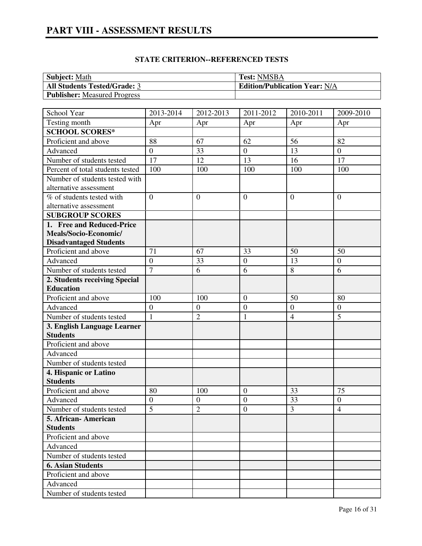# **PART VIII - ASSESSMENT RESULTS**

| <b>Subject:</b> Math                | <b>Test: NMSBA</b>                   |
|-------------------------------------|--------------------------------------|
| <b>All Students Tested/Grade: 3</b> | <b>Edition/Publication Year: N/A</b> |
| <b>Publisher:</b> Measured Progress |                                      |

| School Year                      | 2013-2014        | 2012-2013        | 2011-2012        | 2010-2011        | 2009-2010        |
|----------------------------------|------------------|------------------|------------------|------------------|------------------|
| Testing month                    | Apr              | Apr              | Apr              | Apr              | Apr              |
| <b>SCHOOL SCORES*</b>            |                  |                  |                  |                  |                  |
| Proficient and above             | 88               | 67               | 62               | 56               | 82               |
| Advanced                         | $\overline{0}$   | 33               | $\overline{0}$   | 13               | $\boldsymbol{0}$ |
| Number of students tested        | 17               | 12               | 13               | 16               | 17               |
| Percent of total students tested | 100              | 100              | 100              | 100              | 100              |
| Number of students tested with   |                  |                  |                  |                  |                  |
| alternative assessment           |                  |                  |                  |                  |                  |
| % of students tested with        | $\overline{0}$   | $\overline{0}$   | $\overline{0}$   | $\theta$         | $\overline{0}$   |
| alternative assessment           |                  |                  |                  |                  |                  |
| <b>SUBGROUP SCORES</b>           |                  |                  |                  |                  |                  |
| 1. Free and Reduced-Price        |                  |                  |                  |                  |                  |
| Meals/Socio-Economic/            |                  |                  |                  |                  |                  |
| <b>Disadvantaged Students</b>    |                  |                  |                  |                  |                  |
| Proficient and above             | 71               | 67               | 33               | 50               | 50               |
| Advanced                         | $\overline{0}$   | 33               | $\boldsymbol{0}$ | 13               | $\boldsymbol{0}$ |
| Number of students tested        | $\overline{7}$   | 6                | 6                | 8                | 6                |
| 2. Students receiving Special    |                  |                  |                  |                  |                  |
| <b>Education</b>                 |                  |                  |                  |                  |                  |
| Proficient and above             | 100              | 100              | $\mathbf{0}$     | 50               | 80               |
| Advanced                         | $\overline{0}$   | $\boldsymbol{0}$ | $\overline{0}$   | $\boldsymbol{0}$ | $\boldsymbol{0}$ |
| Number of students tested        | $\mathbf{1}$     | $\overline{2}$   | $\mathbf{1}$     | $\overline{4}$   | 5                |
| 3. English Language Learner      |                  |                  |                  |                  |                  |
| <b>Students</b>                  |                  |                  |                  |                  |                  |
| Proficient and above             |                  |                  |                  |                  |                  |
| Advanced                         |                  |                  |                  |                  |                  |
| Number of students tested        |                  |                  |                  |                  |                  |
| 4. Hispanic or Latino            |                  |                  |                  |                  |                  |
| <b>Students</b>                  |                  |                  |                  |                  |                  |
| Proficient and above             | 80               | 100              | $\overline{0}$   | 33               | 75               |
| Advanced                         | $\boldsymbol{0}$ | $\boldsymbol{0}$ | $\overline{0}$   | 33               | $\boldsymbol{0}$ |
| Number of students tested        | $\overline{5}$   | $\overline{2}$   | $\overline{0}$   | $\overline{3}$   | $\overline{4}$   |
| 5. African-American              |                  |                  |                  |                  |                  |
| <b>Students</b>                  |                  |                  |                  |                  |                  |
| Proficient and above             |                  |                  |                  |                  |                  |
| Advanced                         |                  |                  |                  |                  |                  |
| Number of students tested        |                  |                  |                  |                  |                  |
| <b>6. Asian Students</b>         |                  |                  |                  |                  |                  |
| Proficient and above             |                  |                  |                  |                  |                  |
| Advanced                         |                  |                  |                  |                  |                  |
| Number of students tested        |                  |                  |                  |                  |                  |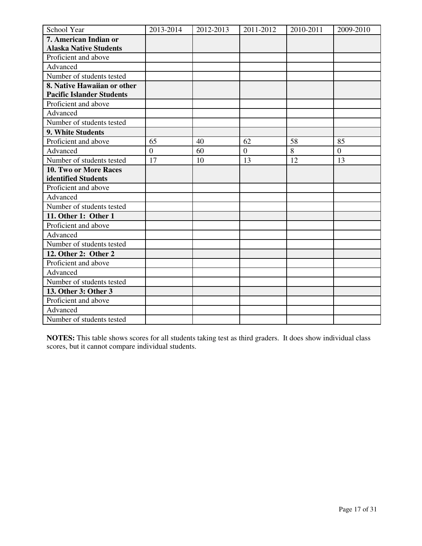| School Year                      | 2013-2014      | 2012-2013 | 2011-2012      | 2010-2011 | 2009-2010      |
|----------------------------------|----------------|-----------|----------------|-----------|----------------|
| 7. American Indian or            |                |           |                |           |                |
| <b>Alaska Native Students</b>    |                |           |                |           |                |
| Proficient and above             |                |           |                |           |                |
| Advanced                         |                |           |                |           |                |
| Number of students tested        |                |           |                |           |                |
| 8. Native Hawaiian or other      |                |           |                |           |                |
| <b>Pacific Islander Students</b> |                |           |                |           |                |
| Proficient and above             |                |           |                |           |                |
| Advanced                         |                |           |                |           |                |
| Number of students tested        |                |           |                |           |                |
| 9. White Students                |                |           |                |           |                |
| Proficient and above             | 65             | 40        | 62             | 58        | 85             |
| Advanced                         | $\overline{0}$ | 60        | $\overline{0}$ | 8         | $\overline{0}$ |
| Number of students tested        | 17             | 10        | 13             | 12        | 13             |
| 10. Two or More Races            |                |           |                |           |                |
| identified Students              |                |           |                |           |                |
| Proficient and above             |                |           |                |           |                |
| Advanced                         |                |           |                |           |                |
| Number of students tested        |                |           |                |           |                |
| 11. Other 1: Other 1             |                |           |                |           |                |
| Proficient and above             |                |           |                |           |                |
| Advanced                         |                |           |                |           |                |
| Number of students tested        |                |           |                |           |                |
| 12. Other 2: Other 2             |                |           |                |           |                |
| Proficient and above             |                |           |                |           |                |
| Advanced                         |                |           |                |           |                |
| Number of students tested        |                |           |                |           |                |
| 13. Other 3: Other 3             |                |           |                |           |                |
| Proficient and above             |                |           |                |           |                |
| Advanced                         |                |           |                |           |                |
| Number of students tested        |                |           |                |           |                |

**NOTES:** This table shows scores for all students taking test as third graders. It does show individual class scores, but it cannot compare individual students.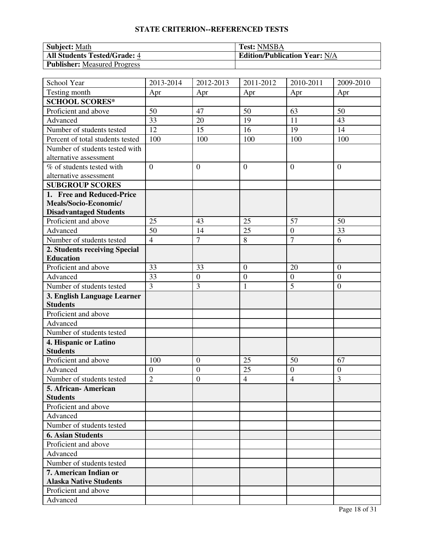| <b>Subject: Math</b>                | <b>Test: NMSBA</b>                   |
|-------------------------------------|--------------------------------------|
| <b>All Students Tested/Grade: 4</b> | <b>Edition/Publication Year: N/A</b> |
| Publisher: Measured Progress        |                                      |

| School Year                      | 2013-2014        | 2012-2013        | 2011-2012        | 2010-2011        | 2009-2010      |
|----------------------------------|------------------|------------------|------------------|------------------|----------------|
| Testing month                    | Apr              | Apr              | Apr              | Apr              | Apr            |
| <b>SCHOOL SCORES*</b>            |                  |                  |                  |                  |                |
| Proficient and above             | 50               | 47               | 50               | 63               | 50             |
| Advanced                         | 33               | 20               | 19               | 11               | 43             |
| Number of students tested        | 12               | 15               | 16               | 19               | 14             |
| Percent of total students tested | 100              | 100              | 100              | 100              | 100            |
| Number of students tested with   |                  |                  |                  |                  |                |
| alternative assessment           |                  |                  |                  |                  |                |
| % of students tested with        | $\overline{0}$   | $\overline{0}$   | $\overline{0}$   | $\overline{0}$   | $\overline{0}$ |
| alternative assessment           |                  |                  |                  |                  |                |
| <b>SUBGROUP SCORES</b>           |                  |                  |                  |                  |                |
| 1. Free and Reduced-Price        |                  |                  |                  |                  |                |
| Meals/Socio-Economic/            |                  |                  |                  |                  |                |
| <b>Disadvantaged Students</b>    |                  |                  |                  |                  |                |
| Proficient and above             | 25               | 43               | 25               | 57               | 50             |
| Advanced                         | 50               | 14               | 25               | $\boldsymbol{0}$ | 33             |
| Number of students tested        | $\overline{4}$   | $\overline{7}$   | 8                | $\overline{7}$   | 6              |
| 2. Students receiving Special    |                  |                  |                  |                  |                |
| <b>Education</b>                 |                  |                  |                  |                  |                |
| Proficient and above             | 33               | 33               | $\overline{0}$   | 20               | $\mathbf{0}$   |
| Advanced                         | 33               | $\boldsymbol{0}$ | $\boldsymbol{0}$ | $\boldsymbol{0}$ | $\overline{0}$ |
| Number of students tested        | 3                | 3                | $\mathbf{1}$     | 5                | $\mathbf{0}$   |
| 3. English Language Learner      |                  |                  |                  |                  |                |
| <b>Students</b>                  |                  |                  |                  |                  |                |
| Proficient and above             |                  |                  |                  |                  |                |
| Advanced                         |                  |                  |                  |                  |                |
| Number of students tested        |                  |                  |                  |                  |                |
| 4. Hispanic or Latino            |                  |                  |                  |                  |                |
| <b>Students</b>                  |                  |                  |                  |                  |                |
| Proficient and above             | 100              | $\boldsymbol{0}$ | 25               | 50               | 67             |
| Advanced                         | $\boldsymbol{0}$ | $\boldsymbol{0}$ | 25               | $\boldsymbol{0}$ | $\overline{0}$ |
| Number of students tested        | $\overline{2}$   | $\boldsymbol{0}$ | $\overline{4}$   | $\overline{4}$   | 3              |
| 5. African- American             |                  |                  |                  |                  |                |
| <b>Students</b>                  |                  |                  |                  |                  |                |
| Proficient and above             |                  |                  |                  |                  |                |
| Advanced                         |                  |                  |                  |                  |                |
| Number of students tested        |                  |                  |                  |                  |                |
| <b>6. Asian Students</b>         |                  |                  |                  |                  |                |
| Proficient and above             |                  |                  |                  |                  |                |
| Advanced                         |                  |                  |                  |                  |                |
| Number of students tested        |                  |                  |                  |                  |                |
| 7. American Indian or            |                  |                  |                  |                  |                |
| <b>Alaska Native Students</b>    |                  |                  |                  |                  |                |
| Proficient and above             |                  |                  |                  |                  |                |
| Advanced                         |                  |                  |                  |                  |                |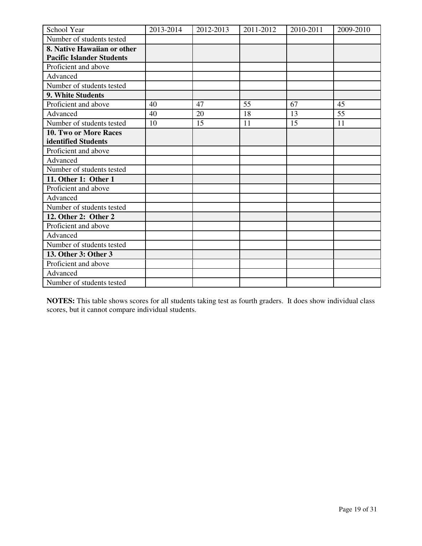| School Year                      | 2013-2014 | 2012-2013 | 2011-2012 | 2010-2011 | 2009-2010 |
|----------------------------------|-----------|-----------|-----------|-----------|-----------|
| Number of students tested        |           |           |           |           |           |
| 8. Native Hawaiian or other      |           |           |           |           |           |
| <b>Pacific Islander Students</b> |           |           |           |           |           |
| Proficient and above             |           |           |           |           |           |
| Advanced                         |           |           |           |           |           |
| Number of students tested        |           |           |           |           |           |
| <b>9. White Students</b>         |           |           |           |           |           |
| Proficient and above             | 40        | 47        | 55        | 67        | 45        |
| Advanced                         | 40        | 20        | 18        | 13        | 55        |
| Number of students tested        | 10        | 15        | 11        | 15        | 11        |
| <b>10. Two or More Races</b>     |           |           |           |           |           |
| identified Students              |           |           |           |           |           |
| Proficient and above             |           |           |           |           |           |
| Advanced                         |           |           |           |           |           |
| Number of students tested        |           |           |           |           |           |
| 11. Other 1: Other 1             |           |           |           |           |           |
| Proficient and above             |           |           |           |           |           |
| Advanced                         |           |           |           |           |           |
| Number of students tested        |           |           |           |           |           |
| 12. Other 2: Other 2             |           |           |           |           |           |
| Proficient and above             |           |           |           |           |           |
| Advanced                         |           |           |           |           |           |
| Number of students tested        |           |           |           |           |           |
| 13. Other 3: Other 3             |           |           |           |           |           |
| Proficient and above             |           |           |           |           |           |
| Advanced                         |           |           |           |           |           |
| Number of students tested        |           |           |           |           |           |

**NOTES:** This table shows scores for all students taking test as fourth graders. It does show individual class scores, but it cannot compare individual students.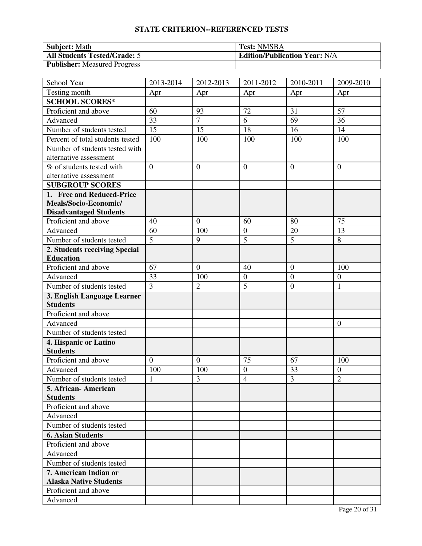| <b>Subject: Math</b>                | <b>Test: NMSBA</b>                   |
|-------------------------------------|--------------------------------------|
| <b>All Students Tested/Grade: 5</b> | <b>Edition/Publication Year: N/A</b> |
| <b>Publisher:</b> Measured Progress |                                      |

| School Year                      | 2013-2014      | 2012-2013      | 2011-2012        | 2010-2011        | 2009-2010        |
|----------------------------------|----------------|----------------|------------------|------------------|------------------|
| Testing month                    | Apr            | Apr            | Apr              | Apr              | Apr              |
| <b>SCHOOL SCORES*</b>            |                |                |                  |                  |                  |
| Proficient and above             | 60             | 93             | 72               | 31               | 57               |
| Advanced                         | 33             | $\overline{7}$ | 6                | 69               | 36               |
| Number of students tested        | 15             | 15             | 18               | 16               | 14               |
| Percent of total students tested | 100            | 100            | 100              | 100              | 100              |
| Number of students tested with   |                |                |                  |                  |                  |
| alternative assessment           |                |                |                  |                  |                  |
| % of students tested with        | $\overline{0}$ | $\overline{0}$ | $\overline{0}$   | $\overline{0}$   | $\overline{0}$   |
| alternative assessment           |                |                |                  |                  |                  |
| <b>SUBGROUP SCORES</b>           |                |                |                  |                  |                  |
| 1. Free and Reduced-Price        |                |                |                  |                  |                  |
| Meals/Socio-Economic/            |                |                |                  |                  |                  |
| <b>Disadvantaged Students</b>    |                |                |                  |                  |                  |
| Proficient and above             | 40             | $\overline{0}$ | 60               | 80               | 75               |
| Advanced                         | 60             | 100            | $\overline{0}$   | 20               | 13               |
| Number of students tested        | $\overline{5}$ | 9              | $\overline{5}$   | 5                | 8                |
| 2. Students receiving Special    |                |                |                  |                  |                  |
| <b>Education</b>                 |                |                |                  |                  |                  |
| Proficient and above             | 67             | $\overline{0}$ | 40               | $\overline{0}$   | 100              |
| Advanced                         | 33             | 100            | $\boldsymbol{0}$ | $\boldsymbol{0}$ | $\overline{0}$   |
| Number of students tested        | 3              | $\overline{2}$ | 5                | $\mathbf{0}$     | 1                |
| 3. English Language Learner      |                |                |                  |                  |                  |
| <b>Students</b>                  |                |                |                  |                  |                  |
| Proficient and above             |                |                |                  |                  |                  |
| Advanced                         |                |                |                  |                  | $\overline{0}$   |
| Number of students tested        |                |                |                  |                  |                  |
| 4. Hispanic or Latino            |                |                |                  |                  |                  |
| <b>Students</b>                  |                |                |                  |                  |                  |
| Proficient and above             | $\overline{0}$ | $\overline{0}$ | 75               | 67               | 100              |
| Advanced                         | 100            | 100            | $\overline{0}$   | 33               | $\boldsymbol{0}$ |
| Number of students tested        | $\mathbf{1}$   | 3              | $\overline{4}$   | 3                | $\overline{2}$   |
| 5. African- American             |                |                |                  |                  |                  |
| <b>Students</b>                  |                |                |                  |                  |                  |
| Proficient and above             |                |                |                  |                  |                  |
| Advanced                         |                |                |                  |                  |                  |
| Number of students tested        |                |                |                  |                  |                  |
| <b>6. Asian Students</b>         |                |                |                  |                  |                  |
| Proficient and above             |                |                |                  |                  |                  |
| Advanced                         |                |                |                  |                  |                  |
| Number of students tested        |                |                |                  |                  |                  |
| 7. American Indian or            |                |                |                  |                  |                  |
| <b>Alaska Native Students</b>    |                |                |                  |                  |                  |
| Proficient and above             |                |                |                  |                  |                  |
| Advanced                         |                |                |                  |                  |                  |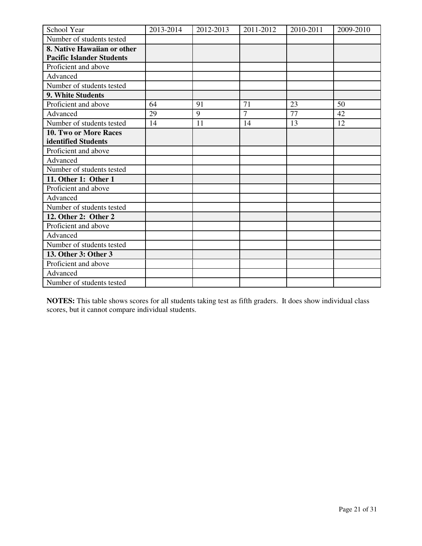| School Year                      | 2013-2014 | 2012-2013 | 2011-2012      | 2010-2011 | 2009-2010 |
|----------------------------------|-----------|-----------|----------------|-----------|-----------|
| Number of students tested        |           |           |                |           |           |
| 8. Native Hawaiian or other      |           |           |                |           |           |
| <b>Pacific Islander Students</b> |           |           |                |           |           |
| Proficient and above             |           |           |                |           |           |
| Advanced                         |           |           |                |           |           |
| Number of students tested        |           |           |                |           |           |
| 9. White Students                |           |           |                |           |           |
| Proficient and above             | 64        | 91        | 71             | 23        | 50        |
| Advanced                         | 29        | 9         | $\overline{7}$ | 77        | 42        |
| Number of students tested        | 14        | 11        | 14             | 13        | 12        |
| 10. Two or More Races            |           |           |                |           |           |
| identified Students              |           |           |                |           |           |
| Proficient and above             |           |           |                |           |           |
| Advanced                         |           |           |                |           |           |
| Number of students tested        |           |           |                |           |           |
| 11. Other 1: Other 1             |           |           |                |           |           |
| Proficient and above             |           |           |                |           |           |
| Advanced                         |           |           |                |           |           |
| Number of students tested        |           |           |                |           |           |
| 12. Other 2: Other 2             |           |           |                |           |           |
| Proficient and above             |           |           |                |           |           |
| Advanced                         |           |           |                |           |           |
| Number of students tested        |           |           |                |           |           |
| 13. Other 3: Other 3             |           |           |                |           |           |
| Proficient and above             |           |           |                |           |           |
| Advanced                         |           |           |                |           |           |
| Number of students tested        |           |           |                |           |           |

**NOTES:** This table shows scores for all students taking test as fifth graders. It does show individual class scores, but it cannot compare individual students.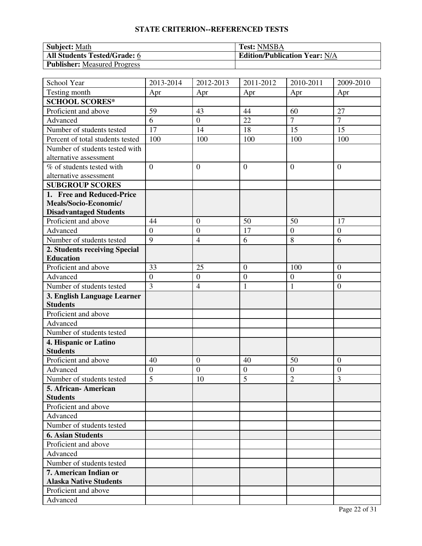| <b>Subject: Math</b>                | <b>Test: NMSBA</b>                   |
|-------------------------------------|--------------------------------------|
| <b>All Students Tested/Grade: 6</b> | <b>Edition/Publication Year: N/A</b> |
| Publisher: Measured Progress        |                                      |

| School Year                      | 2013-2014      | 2012-2013        | 2011-2012        | 2010-2011        | 2009-2010      |
|----------------------------------|----------------|------------------|------------------|------------------|----------------|
| Testing month                    | Apr            | Apr              | Apr              | Apr              | Apr            |
| <b>SCHOOL SCORES*</b>            |                |                  |                  |                  |                |
| Proficient and above             | 59             | 43               | 44               | 60               | 27             |
| Advanced                         | 6              | $\mathbf{0}$     | 22               | $\overline{7}$   | $\overline{7}$ |
| Number of students tested        | 17             | 14               | 18               | 15               | 15             |
| Percent of total students tested | 100            | 100              | 100              | 100              | 100            |
| Number of students tested with   |                |                  |                  |                  |                |
| alternative assessment           |                |                  |                  |                  |                |
| % of students tested with        | $\overline{0}$ | $\overline{0}$   | $\overline{0}$   | $\overline{0}$   | $\overline{0}$ |
| alternative assessment           |                |                  |                  |                  |                |
| <b>SUBGROUP SCORES</b>           |                |                  |                  |                  |                |
| 1. Free and Reduced-Price        |                |                  |                  |                  |                |
| Meals/Socio-Economic/            |                |                  |                  |                  |                |
| <b>Disadvantaged Students</b>    |                |                  |                  |                  |                |
| Proficient and above             | 44             | $\overline{0}$   | 50               | 50               | 17             |
| Advanced                         | $\overline{0}$ | $\overline{0}$   | 17               | $\overline{0}$   | $\overline{0}$ |
| Number of students tested        | $\overline{9}$ | $\overline{4}$   | 6                | 8                | 6              |
| 2. Students receiving Special    |                |                  |                  |                  |                |
| <b>Education</b>                 |                |                  |                  |                  |                |
| Proficient and above             | 33             | 25               | $\overline{0}$   | 100              | $\mathbf{0}$   |
| Advanced                         | $\overline{0}$ | $\boldsymbol{0}$ | $\boldsymbol{0}$ | $\boldsymbol{0}$ | $\mathbf{0}$   |
| Number of students tested        | $\overline{3}$ | $\overline{4}$   | $\mathbf{1}$     | 1                | $\mathbf{0}$   |
| 3. English Language Learner      |                |                  |                  |                  |                |
| <b>Students</b>                  |                |                  |                  |                  |                |
| Proficient and above             |                |                  |                  |                  |                |
| Advanced                         |                |                  |                  |                  |                |
| Number of students tested        |                |                  |                  |                  |                |
| 4. Hispanic or Latino            |                |                  |                  |                  |                |
| <b>Students</b>                  |                |                  |                  |                  |                |
| Proficient and above             | 40             | $\boldsymbol{0}$ | 40               | 50               | $\overline{0}$ |
| Advanced                         | $\overline{0}$ | $\overline{0}$   | $\boldsymbol{0}$ | $\boldsymbol{0}$ | $\mathbf{0}$   |
| Number of students tested        | $\overline{5}$ | 10               | $\overline{5}$   | $\overline{2}$   | 3              |
| 5. African- American             |                |                  |                  |                  |                |
| <b>Students</b>                  |                |                  |                  |                  |                |
| Proficient and above             |                |                  |                  |                  |                |
| Advanced                         |                |                  |                  |                  |                |
| Number of students tested        |                |                  |                  |                  |                |
| <b>6. Asian Students</b>         |                |                  |                  |                  |                |
| Proficient and above             |                |                  |                  |                  |                |
| Advanced                         |                |                  |                  |                  |                |
| Number of students tested        |                |                  |                  |                  |                |
| 7. American Indian or            |                |                  |                  |                  |                |
| <b>Alaska Native Students</b>    |                |                  |                  |                  |                |
| Proficient and above             |                |                  |                  |                  |                |
| Advanced                         |                |                  |                  |                  |                |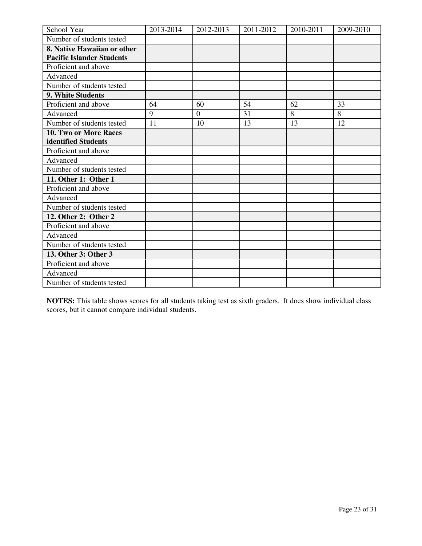| School Year                      | 2013-2014 | 2012-2013    | 2011-2012 | 2010-2011 | 2009-2010 |
|----------------------------------|-----------|--------------|-----------|-----------|-----------|
| Number of students tested        |           |              |           |           |           |
| 8. Native Hawaiian or other      |           |              |           |           |           |
| <b>Pacific Islander Students</b> |           |              |           |           |           |
| Proficient and above             |           |              |           |           |           |
| Advanced                         |           |              |           |           |           |
| Number of students tested        |           |              |           |           |           |
| 9. White Students                |           |              |           |           |           |
| Proficient and above             | 64        | 60           | 54        | 62        | 33        |
| Advanced                         | 9         | $\mathbf{0}$ | 31        | 8         | 8         |
| Number of students tested        | 11        | 10           | 13        | 13        | 12        |
| 10. Two or More Races            |           |              |           |           |           |
| identified Students              |           |              |           |           |           |
| Proficient and above             |           |              |           |           |           |
| Advanced                         |           |              |           |           |           |
| Number of students tested        |           |              |           |           |           |
| 11. Other 1: Other 1             |           |              |           |           |           |
| Proficient and above             |           |              |           |           |           |
| Advanced                         |           |              |           |           |           |
| Number of students tested        |           |              |           |           |           |
| 12. Other 2: Other 2             |           |              |           |           |           |
| Proficient and above             |           |              |           |           |           |
| Advanced                         |           |              |           |           |           |
| Number of students tested        |           |              |           |           |           |
| 13. Other 3: Other 3             |           |              |           |           |           |
| Proficient and above             |           |              |           |           |           |
| Advanced                         |           |              |           |           |           |
| Number of students tested        |           |              |           |           |           |

**NOTES:** This table shows scores for all students taking test as sixth graders. It does show individual class scores, but it cannot compare individual students.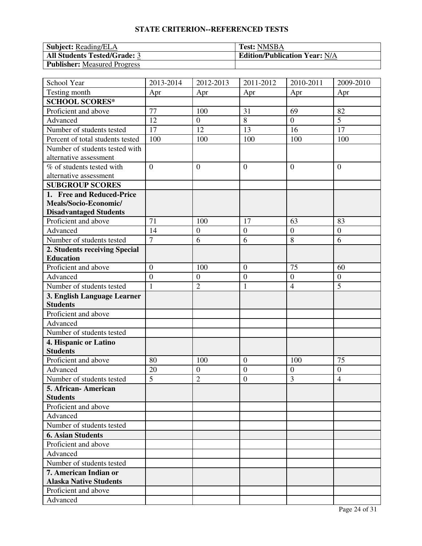| <b>Subject:</b> Reading/ELA         | <b>Test: NMSBA</b>                   |
|-------------------------------------|--------------------------------------|
| <b>All Students Tested/Grade: 3</b> | <b>Edition/Publication Year: N/A</b> |
| <b>Publisher:</b> Measured Progress |                                      |

| School Year                                    | 2013-2014      | 2012-2013        | 2011-2012        | 2010-2011        | 2009-2010        |
|------------------------------------------------|----------------|------------------|------------------|------------------|------------------|
| Testing month                                  | Apr            | Apr              | Apr              | Apr              | Apr              |
| <b>SCHOOL SCORES*</b>                          |                |                  |                  |                  |                  |
| Proficient and above                           | 77             | 100              | 31               | 69               | 82               |
| Advanced                                       | 12             | $\boldsymbol{0}$ | 8                | $\overline{0}$   | 5                |
| Number of students tested                      | 17             | 12               | 13               | 16               | 17               |
| Percent of total students tested               | 100            | 100              | 100              | 100              | 100              |
| Number of students tested with                 |                |                  |                  |                  |                  |
| alternative assessment                         |                |                  |                  |                  |                  |
| % of students tested with                      | $\overline{0}$ | $\boldsymbol{0}$ | $\overline{0}$   | $\mathbf{0}$     | $\overline{0}$   |
| alternative assessment                         |                |                  |                  |                  |                  |
| <b>SUBGROUP SCORES</b>                         |                |                  |                  |                  |                  |
| 1. Free and Reduced-Price                      |                |                  |                  |                  |                  |
| Meals/Socio-Economic/                          |                |                  |                  |                  |                  |
| <b>Disadvantaged Students</b>                  |                |                  |                  |                  |                  |
| Proficient and above                           | 71             | 100              | 17               | 63               | 83               |
| Advanced                                       | 14             | $\boldsymbol{0}$ | $\boldsymbol{0}$ | $\boldsymbol{0}$ | $\mathbf{0}$     |
| Number of students tested                      | $\overline{7}$ | 6                | 6                | 8                | 6                |
| 2. Students receiving Special                  |                |                  |                  |                  |                  |
| <b>Education</b>                               |                |                  |                  |                  |                  |
| Proficient and above                           | $\overline{0}$ | 100              | $\mathbf{0}$     | 75               | 60               |
| Advanced                                       | $\overline{0}$ | $\mathbf{0}$     | $\boldsymbol{0}$ | $\boldsymbol{0}$ | $\mathbf{0}$     |
| Number of students tested                      | $\mathbf{1}$   | $\overline{2}$   | 1                | $\overline{4}$   | 5                |
| 3. English Language Learner<br><b>Students</b> |                |                  |                  |                  |                  |
| Proficient and above                           |                |                  |                  |                  |                  |
| Advanced                                       |                |                  |                  |                  |                  |
| Number of students tested                      |                |                  |                  |                  |                  |
| 4. Hispanic or Latino                          |                |                  |                  |                  |                  |
| <b>Students</b>                                |                |                  |                  |                  |                  |
| Proficient and above                           | 80             | 100              | $\mathbf{0}$     | 100              | 75               |
| Advanced                                       | 20             | $\mathbf{0}$     | $\boldsymbol{0}$ | $\boldsymbol{0}$ | $\boldsymbol{0}$ |
| Number of students tested                      | $\overline{5}$ | $\overline{2}$   | $\overline{0}$   | 3                | $\overline{4}$   |
| 5. African-American                            |                |                  |                  |                  |                  |
| <b>Students</b>                                |                |                  |                  |                  |                  |
| Proficient and above                           |                |                  |                  |                  |                  |
| Advanced                                       |                |                  |                  |                  |                  |
| Number of students tested                      |                |                  |                  |                  |                  |
| <b>6. Asian Students</b>                       |                |                  |                  |                  |                  |
| Proficient and above                           |                |                  |                  |                  |                  |
| Advanced                                       |                |                  |                  |                  |                  |
| Number of students tested                      |                |                  |                  |                  |                  |
| 7. American Indian or                          |                |                  |                  |                  |                  |
| <b>Alaska Native Students</b>                  |                |                  |                  |                  |                  |
| Proficient and above                           |                |                  |                  |                  |                  |
| Advanced                                       |                |                  |                  |                  |                  |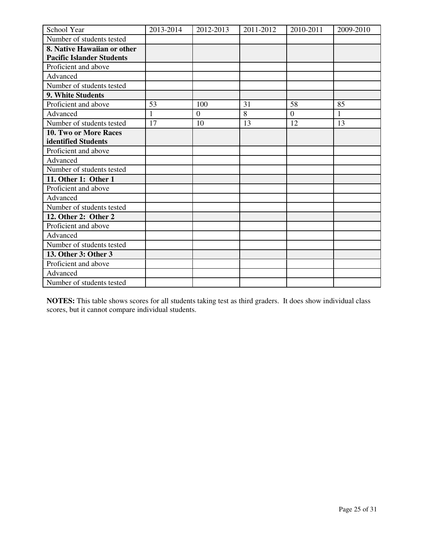| School Year                      | 2013-2014 | 2012-2013      | 2011-2012 | 2010-2011 | 2009-2010 |
|----------------------------------|-----------|----------------|-----------|-----------|-----------|
| Number of students tested        |           |                |           |           |           |
| 8. Native Hawaiian or other      |           |                |           |           |           |
| <b>Pacific Islander Students</b> |           |                |           |           |           |
| Proficient and above             |           |                |           |           |           |
| Advanced                         |           |                |           |           |           |
| Number of students tested        |           |                |           |           |           |
| 9. White Students                |           |                |           |           |           |
| Proficient and above             | 53        | 100            | 31        | 58        | 85        |
| Advanced                         | 1         | $\overline{0}$ | 8         | $\theta$  | 1         |
| Number of students tested        | 17        | 10             | 13        | 12        | 13        |
| 10. Two or More Races            |           |                |           |           |           |
| identified Students              |           |                |           |           |           |
| Proficient and above             |           |                |           |           |           |
| Advanced                         |           |                |           |           |           |
| Number of students tested        |           |                |           |           |           |
| 11. Other 1: Other 1             |           |                |           |           |           |
| Proficient and above             |           |                |           |           |           |
| Advanced                         |           |                |           |           |           |
| Number of students tested        |           |                |           |           |           |
| 12. Other 2: Other 2             |           |                |           |           |           |
| Proficient and above             |           |                |           |           |           |
| Advanced                         |           |                |           |           |           |
| Number of students tested        |           |                |           |           |           |
| 13. Other 3: Other 3             |           |                |           |           |           |
| Proficient and above             |           |                |           |           |           |
| Advanced                         |           |                |           |           |           |
| Number of students tested        |           |                |           |           |           |

**NOTES:** This table shows scores for all students taking test as third graders. It does show individual class scores, but it cannot compare individual students.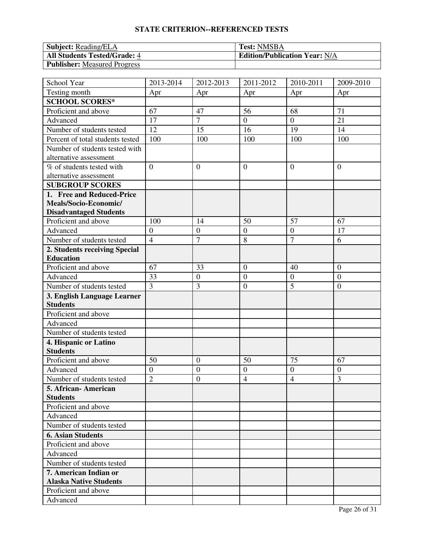| <b>Subject:</b> Reading/ELA         | <b>Test: NMSBA</b>                   |
|-------------------------------------|--------------------------------------|
| <b>All Students Tested/Grade: 4</b> | <b>Edition/Publication Year: N/A</b> |
| <b>Publisher:</b> Measured Progress |                                      |

| School Year                      | 2013-2014        | 2012-2013        | 2011-2012        | 2010-2011        | 2009-2010        |
|----------------------------------|------------------|------------------|------------------|------------------|------------------|
| Testing month                    | Apr              | Apr              | Apr              | Apr              | Apr              |
| <b>SCHOOL SCORES*</b>            |                  |                  |                  |                  |                  |
| Proficient and above             | 67               | 47               | 56               | 68               | 71               |
| Advanced                         | 17               | $\overline{7}$   | $\overline{0}$   | $\overline{0}$   | 21               |
| Number of students tested        | 12               | 15               | 16               | 19               | 14               |
| Percent of total students tested | 100              | 100              | 100              | 100              | 100              |
| Number of students tested with   |                  |                  |                  |                  |                  |
| alternative assessment           |                  |                  |                  |                  |                  |
| % of students tested with        | $\overline{0}$   | $\boldsymbol{0}$ | $\overline{0}$   | $\overline{0}$   | $\overline{0}$   |
| alternative assessment           |                  |                  |                  |                  |                  |
| <b>SUBGROUP SCORES</b>           |                  |                  |                  |                  |                  |
| 1. Free and Reduced-Price        |                  |                  |                  |                  |                  |
| Meals/Socio-Economic/            |                  |                  |                  |                  |                  |
| <b>Disadvantaged Students</b>    |                  |                  |                  |                  |                  |
| Proficient and above             | 100              | 14               | 50               | 57               | 67               |
| Advanced                         | $\boldsymbol{0}$ | $\mathbf{0}$     | $\boldsymbol{0}$ | $\boldsymbol{0}$ | 17               |
| Number of students tested        | $\overline{4}$   | $\overline{7}$   | 8                | $\overline{7}$   | 6                |
| 2. Students receiving Special    |                  |                  |                  |                  |                  |
| <b>Education</b>                 |                  |                  |                  |                  |                  |
| Proficient and above             | 67               | 33               | $\mathbf{0}$     | 40               | $\mathbf{0}$     |
| Advanced                         | 33               | $\boldsymbol{0}$ | $\boldsymbol{0}$ | $\boldsymbol{0}$ | $\overline{0}$   |
| Number of students tested        | $\overline{3}$   | 3                | $\boldsymbol{0}$ | 5                | $\overline{0}$   |
| 3. English Language Learner      |                  |                  |                  |                  |                  |
| <b>Students</b>                  |                  |                  |                  |                  |                  |
| Proficient and above             |                  |                  |                  |                  |                  |
| Advanced                         |                  |                  |                  |                  |                  |
| Number of students tested        |                  |                  |                  |                  |                  |
| 4. Hispanic or Latino            |                  |                  |                  |                  |                  |
| <b>Students</b>                  |                  |                  |                  |                  |                  |
| Proficient and above             | 50               | $\mathbf{0}$     | 50               | 75               | 67               |
| Advanced                         | $\overline{0}$   | $\boldsymbol{0}$ | $\overline{0}$   | $\boldsymbol{0}$ | $\boldsymbol{0}$ |
| Number of students tested        | $\overline{2}$   | $\mathbf{0}$     | $\overline{4}$   | $\overline{4}$   | 3                |
| 5. African-American              |                  |                  |                  |                  |                  |
| <b>Students</b>                  |                  |                  |                  |                  |                  |
| Proficient and above             |                  |                  |                  |                  |                  |
| Advanced                         |                  |                  |                  |                  |                  |
| Number of students tested        |                  |                  |                  |                  |                  |
| <b>6. Asian Students</b>         |                  |                  |                  |                  |                  |
| Proficient and above             |                  |                  |                  |                  |                  |
| Advanced                         |                  |                  |                  |                  |                  |
| Number of students tested        |                  |                  |                  |                  |                  |
| 7. American Indian or            |                  |                  |                  |                  |                  |
| <b>Alaska Native Students</b>    |                  |                  |                  |                  |                  |
| Proficient and above             |                  |                  |                  |                  |                  |
| Advanced                         |                  |                  |                  |                  |                  |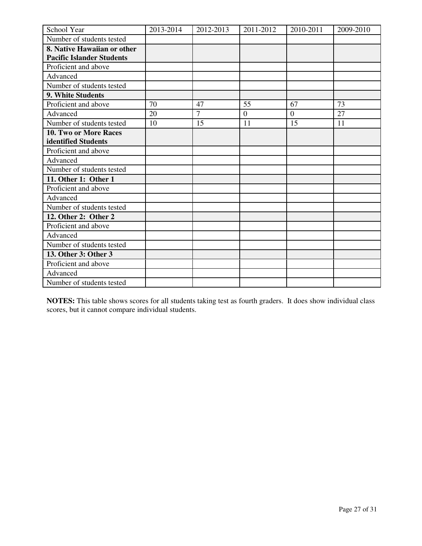| School Year                      | 2013-2014 | 2012-2013      | 2011-2012      | 2010-2011 | 2009-2010 |
|----------------------------------|-----------|----------------|----------------|-----------|-----------|
| Number of students tested        |           |                |                |           |           |
| 8. Native Hawaiian or other      |           |                |                |           |           |
| <b>Pacific Islander Students</b> |           |                |                |           |           |
| Proficient and above             |           |                |                |           |           |
| Advanced                         |           |                |                |           |           |
| Number of students tested        |           |                |                |           |           |
| 9. White Students                |           |                |                |           |           |
| Proficient and above             | 70        | 47             | 55             | 67        | 73        |
| Advanced                         | 20        | $\overline{7}$ | $\overline{0}$ | $\theta$  | 27        |
| Number of students tested        | 10        | 15             | 11             | 15        | 11        |
| <b>10. Two or More Races</b>     |           |                |                |           |           |
| identified Students              |           |                |                |           |           |
| Proficient and above             |           |                |                |           |           |
| Advanced                         |           |                |                |           |           |
| Number of students tested        |           |                |                |           |           |
| 11. Other 1: Other 1             |           |                |                |           |           |
| Proficient and above             |           |                |                |           |           |
| Advanced                         |           |                |                |           |           |
| Number of students tested        |           |                |                |           |           |
| 12. Other 2: Other 2             |           |                |                |           |           |
| Proficient and above             |           |                |                |           |           |
| Advanced                         |           |                |                |           |           |
| Number of students tested        |           |                |                |           |           |
| 13. Other 3: Other 3             |           |                |                |           |           |
| Proficient and above             |           |                |                |           |           |
| Advanced                         |           |                |                |           |           |
| Number of students tested        |           |                |                |           |           |

**NOTES:** This table shows scores for all students taking test as fourth graders. It does show individual class scores, but it cannot compare individual students.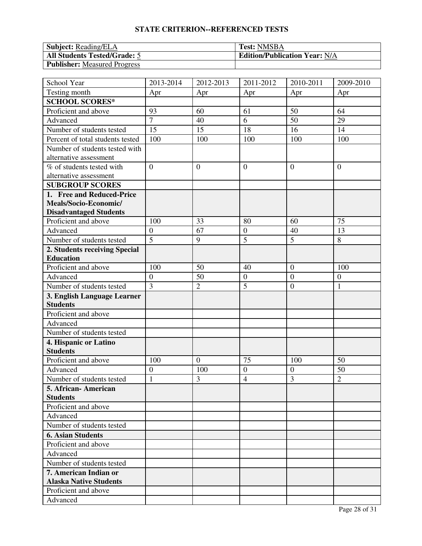| <b>Subject:</b> Reading/ELA         | <b>Test: NMSBA</b>                   |
|-------------------------------------|--------------------------------------|
| <b>All Students Tested/Grade: 5</b> | <b>Edition/Publication Year: N/A</b> |
| <b>Publisher:</b> Measured Progress |                                      |

| School Year                                    | 2013-2014        | 2012-2013        | 2011-2012        | 2010-2011        | 2009-2010        |
|------------------------------------------------|------------------|------------------|------------------|------------------|------------------|
| Testing month                                  | Apr              | Apr              | Apr              | Apr              | Apr              |
| <b>SCHOOL SCORES*</b>                          |                  |                  |                  |                  |                  |
| Proficient and above                           | 93               | 60               | 61               | 50               | 64               |
| Advanced                                       | $\overline{7}$   | 40               | 6                | 50               | 29               |
| Number of students tested                      | 15               | 15               | 18               | 16               | 14               |
| Percent of total students tested               | 100              | 100              | 100              | 100              | 100              |
| Number of students tested with                 |                  |                  |                  |                  |                  |
| alternative assessment                         |                  |                  |                  |                  |                  |
| % of students tested with                      | $\overline{0}$   | $\boldsymbol{0}$ | $\overline{0}$   | $\overline{0}$   | $\overline{0}$   |
| alternative assessment                         |                  |                  |                  |                  |                  |
| <b>SUBGROUP SCORES</b>                         |                  |                  |                  |                  |                  |
| 1. Free and Reduced-Price                      |                  |                  |                  |                  |                  |
| Meals/Socio-Economic/                          |                  |                  |                  |                  |                  |
| <b>Disadvantaged Students</b>                  |                  |                  |                  |                  |                  |
| Proficient and above                           | 100              | 33               | 80               | 60               | 75               |
| Advanced                                       | $\boldsymbol{0}$ | 67               | $\boldsymbol{0}$ | 40               | 13               |
| Number of students tested                      | $\overline{5}$   | 9                | $\overline{5}$   | 5                | 8                |
| 2. Students receiving Special                  |                  |                  |                  |                  |                  |
| <b>Education</b>                               |                  |                  |                  |                  |                  |
| Proficient and above                           | 100              | 50               | 40               | $\overline{0}$   | 100              |
| Advanced                                       | $\boldsymbol{0}$ | 50               | $\boldsymbol{0}$ | $\boldsymbol{0}$ | $\boldsymbol{0}$ |
| Number of students tested                      | $\overline{3}$   | $\overline{2}$   | 5                | $\overline{0}$   | 1                |
| 3. English Language Learner<br><b>Students</b> |                  |                  |                  |                  |                  |
| Proficient and above                           |                  |                  |                  |                  |                  |
| Advanced                                       |                  |                  |                  |                  |                  |
| Number of students tested                      |                  |                  |                  |                  |                  |
| 4. Hispanic or Latino                          |                  |                  |                  |                  |                  |
| <b>Students</b>                                |                  |                  |                  |                  |                  |
| Proficient and above                           | 100              | $\overline{0}$   | 75               | 100              | 50               |
| Advanced                                       | $\overline{0}$   | 100              | $\overline{0}$   | $\boldsymbol{0}$ | 50               |
| Number of students tested                      | $\mathbf{1}$     | 3                | $\overline{4}$   | 3                | $\overline{2}$   |
| 5. African-American                            |                  |                  |                  |                  |                  |
| <b>Students</b>                                |                  |                  |                  |                  |                  |
| Proficient and above                           |                  |                  |                  |                  |                  |
| Advanced                                       |                  |                  |                  |                  |                  |
| Number of students tested                      |                  |                  |                  |                  |                  |
| <b>6. Asian Students</b>                       |                  |                  |                  |                  |                  |
| Proficient and above                           |                  |                  |                  |                  |                  |
| Advanced                                       |                  |                  |                  |                  |                  |
| Number of students tested                      |                  |                  |                  |                  |                  |
| 7. American Indian or                          |                  |                  |                  |                  |                  |
| <b>Alaska Native Students</b>                  |                  |                  |                  |                  |                  |
| Proficient and above                           |                  |                  |                  |                  |                  |
| Advanced                                       |                  |                  |                  |                  |                  |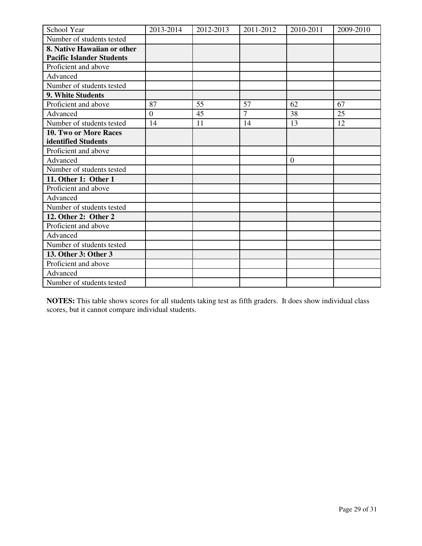| School Year                      | 2013-2014      | 2012-2013 | 2011-2012      | 2010-2011      | 2009-2010 |
|----------------------------------|----------------|-----------|----------------|----------------|-----------|
| Number of students tested        |                |           |                |                |           |
| 8. Native Hawaiian or other      |                |           |                |                |           |
| <b>Pacific Islander Students</b> |                |           |                |                |           |
| Proficient and above             |                |           |                |                |           |
| Advanced                         |                |           |                |                |           |
| Number of students tested        |                |           |                |                |           |
| 9. White Students                |                |           |                |                |           |
| Proficient and above             | 87             | 55        | 57             | 62             | 67        |
| Advanced                         | $\overline{0}$ | 45        | $\overline{7}$ | 38             | 25        |
| Number of students tested        | 14             | 11        | 14             | 13             | 12        |
| 10. Two or More Races            |                |           |                |                |           |
| identified Students              |                |           |                |                |           |
| Proficient and above             |                |           |                |                |           |
| Advanced                         |                |           |                | $\overline{0}$ |           |
| Number of students tested        |                |           |                |                |           |
| 11. Other 1: Other 1             |                |           |                |                |           |
| Proficient and above             |                |           |                |                |           |
| Advanced                         |                |           |                |                |           |
| Number of students tested        |                |           |                |                |           |
| 12. Other 2: Other 2             |                |           |                |                |           |
| Proficient and above             |                |           |                |                |           |
| Advanced                         |                |           |                |                |           |
| Number of students tested        |                |           |                |                |           |
| 13. Other 3: Other 3             |                |           |                |                |           |
| Proficient and above             |                |           |                |                |           |
| Advanced                         |                |           |                |                |           |
| Number of students tested        |                |           |                |                |           |

**NOTES:** This table shows scores for all students taking test as fifth graders. It does show individual class scores, but it cannot compare individual students.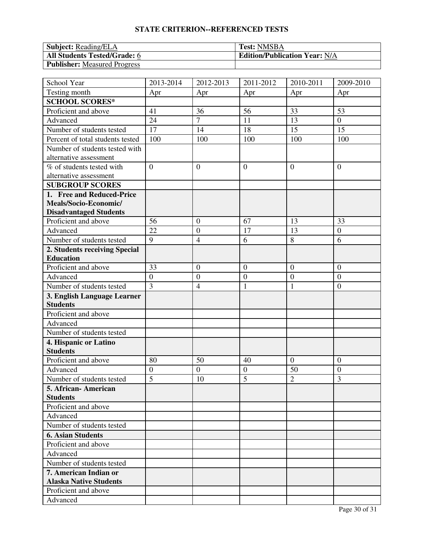| <b>Subject:</b> Reading/ELA         | <b>Test: NMSBA</b>                   |
|-------------------------------------|--------------------------------------|
| <b>All Students Tested/Grade: 6</b> | <b>Edition/Publication Year: N/A</b> |
| <b>Publisher:</b> Measured Progress |                                      |

| School Year                      | 2013-2014      | 2012-2013        | 2011-2012        | 2010-2011        | 2009-2010        |
|----------------------------------|----------------|------------------|------------------|------------------|------------------|
| Testing month                    | Apr            | Apr              | Apr              | Apr              | Apr              |
| <b>SCHOOL SCORES*</b>            |                |                  |                  |                  |                  |
| Proficient and above             | 41             | 36               | 56               | 33               | 53               |
| Advanced                         | 24             | $\overline{7}$   | 11               | 13               | $\boldsymbol{0}$ |
| Number of students tested        | 17             | 14               | 18               | 15               | 15               |
| Percent of total students tested | 100            | 100              | 100              | 100              | 100              |
| Number of students tested with   |                |                  |                  |                  |                  |
| alternative assessment           |                |                  |                  |                  |                  |
| % of students tested with        | $\overline{0}$ | $\overline{0}$   | $\overline{0}$   | $\overline{0}$   | $\overline{0}$   |
| alternative assessment           |                |                  |                  |                  |                  |
| <b>SUBGROUP SCORES</b>           |                |                  |                  |                  |                  |
| 1. Free and Reduced-Price        |                |                  |                  |                  |                  |
| Meals/Socio-Economic/            |                |                  |                  |                  |                  |
| <b>Disadvantaged Students</b>    |                |                  |                  |                  |                  |
| Proficient and above             | 56             | $\overline{0}$   | 67               | 13               | 33               |
| Advanced                         | 22             | $\overline{0}$   | 17               | 13               | $\overline{0}$   |
| Number of students tested        | $\overline{9}$ | $\overline{4}$   | 6                | 8                | 6                |
| 2. Students receiving Special    |                |                  |                  |                  |                  |
| <b>Education</b>                 |                |                  |                  |                  |                  |
| Proficient and above             | 33             | $\boldsymbol{0}$ | $\mathbf{0}$     | $\boldsymbol{0}$ | $\mathbf{0}$     |
| Advanced                         | $\overline{0}$ | $\mathbf{0}$     | $\boldsymbol{0}$ | $\boldsymbol{0}$ | $\mathbf{0}$     |
| Number of students tested        | $\overline{3}$ | $\overline{4}$   | $\mathbf{1}$     | $\mathbf{1}$     | $\boldsymbol{0}$ |
| 3. English Language Learner      |                |                  |                  |                  |                  |
| <b>Students</b>                  |                |                  |                  |                  |                  |
| Proficient and above             |                |                  |                  |                  |                  |
| Advanced                         |                |                  |                  |                  |                  |
| Number of students tested        |                |                  |                  |                  |                  |
| 4. Hispanic or Latino            |                |                  |                  |                  |                  |
| <b>Students</b>                  |                |                  |                  |                  |                  |
| Proficient and above             | 80             | 50               | 40               | $\mathbf{0}$     | $\overline{0}$   |
| Advanced                         | $\overline{0}$ | $\mathbf{0}$     | $\boldsymbol{0}$ | 50               | $\overline{0}$   |
| Number of students tested        | $\overline{5}$ | 10               | $\overline{5}$   | $\overline{2}$   | 3                |
| 5. African- American             |                |                  |                  |                  |                  |
| <b>Students</b>                  |                |                  |                  |                  |                  |
| Proficient and above             |                |                  |                  |                  |                  |
| Advanced                         |                |                  |                  |                  |                  |
| Number of students tested        |                |                  |                  |                  |                  |
| <b>6. Asian Students</b>         |                |                  |                  |                  |                  |
| Proficient and above             |                |                  |                  |                  |                  |
| Advanced                         |                |                  |                  |                  |                  |
| Number of students tested        |                |                  |                  |                  |                  |
| 7. American Indian or            |                |                  |                  |                  |                  |
| <b>Alaska Native Students</b>    |                |                  |                  |                  |                  |
| Proficient and above             |                |                  |                  |                  |                  |
| Advanced                         |                |                  |                  |                  |                  |